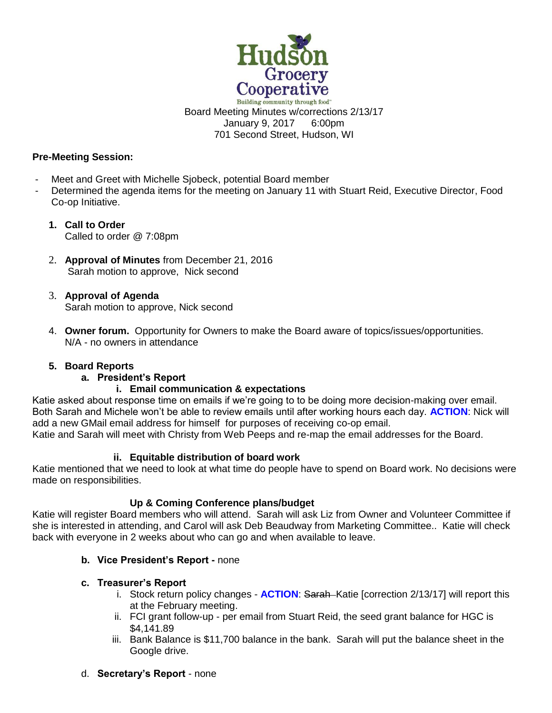

Building community through food" Board Meeting Minutes w/corrections 2/13/17 January 9, 2017 6:00pm 701 Second Street, Hudson, WI

### **Pre-Meeting Session:**

- Meet and Greet with Michelle Sjobeck, potential Board member
- Determined the agenda items for the meeting on January 11 with Stuart Reid, Executive Director, Food Co-op Initiative.
	- **1. Call to Order**  Called to order @ 7:08pm
	- 2. **Approval of Minutes** from December 21, 2016 Sarah motion to approve, Nick second
	- 3. **Approval of Agenda** Sarah motion to approve, Nick second
	- 4. **Owner forum.** Opportunity for Owners to make the Board aware of topics/issues/opportunities. N/A - no owners in attendance

# **5. Board Reports**

# **a. President's Report**

# **i. Email communication & expectations**

Katie asked about response time on emails if we're going to to be doing more decision-making over email. Both Sarah and Michele won't be able to review emails until after working hours each day. **ACTION**: Nick will add a new GMail email address for himself for purposes of receiving co-op email. Katie and Sarah will meet with Christy from Web Peeps and re-map the email addresses for the Board.

# **ii. Equitable distribution of board work**

Katie mentioned that we need to look at what time do people have to spend on Board work. No decisions were made on responsibilities.

# **Up & Coming Conference plans/budget**

Katie will register Board members who will attend. Sarah will ask Liz from Owner and Volunteer Committee if she is interested in attending, and Carol will ask Deb Beaudway from Marketing Committee.. Katie will check back with everyone in 2 weeks about who can go and when available to leave.

# **b. Vice President's Report -** none

# **c. Treasurer's Report**

- i. Stock return policy changes **ACTION**: Sarah Katie [correction 2/13/17] will report this at the February meeting.
- ii. FCI grant follow-up per email from Stuart Reid, the seed grant balance for HGC is \$4,141.89
- iii. Bank Balance is \$11,700 balance in the bank. Sarah will put the balance sheet in the Google drive.
- d. **Secretary's Report** none